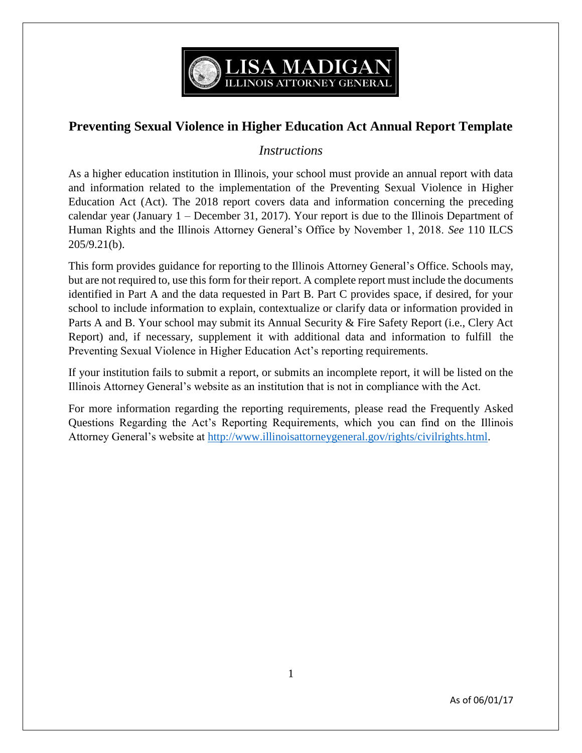

## **Preventing Sexual Violence in Higher Education Act Annual Report Template**

## *Instructions*

As a higher education institution in Illinois, your school must provide an annual report with data and information related to the implementation of the Preventing Sexual Violence in Higher Education Act (Act). The 2018 report covers data and information concerning the preceding calendar year (January 1 – December 31, 2017). Your report is due to the Illinois Department of Human Rights and the Illinois Attorney General's Office by November 1, 2018. *See* 110 ILCS 205/9.21(b).

This form provides guidance for reporting to the Illinois Attorney General's Office. Schools may, but are not required to, use this form for their report. A complete report must include the documents identified in Part A and the data requested in Part B. Part C provides space, if desired, for your school to include information to explain, contextualize or clarify data or information provided in Parts A and B. Your school may submit its Annual Security & Fire Safety Report (i.e., Clery Act Report) and, if necessary, supplement it with additional data and information to fulfill the Preventing Sexual Violence in Higher Education Act's reporting requirements.

If your institution fails to submit a report, or submits an incomplete report, it will be listed on the Illinois Attorney General's website as an institution that is not in compliance with the Act.

For more information regarding the reporting requirements, please read the Frequently Asked Questions Regarding the Act's Reporting Requirements, which you can find on the Illinois Attorney General's website at [http://www.illinoisattorneygeneral.gov/rights/civilrights.html.](http://www.illinoisattorneygeneral.gov/rights/civilrights.html)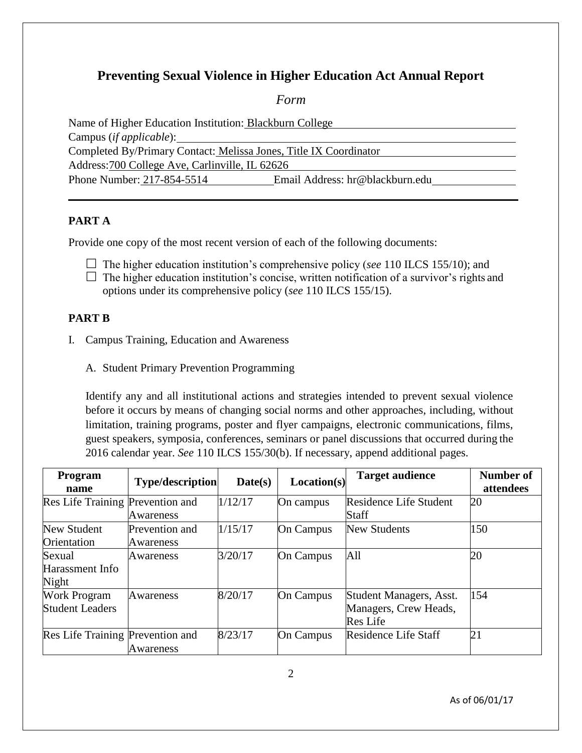# **Preventing Sexual Violence in Higher Education Act Annual Report**

*Form*

Name of Higher Education Institution: Blackburn College Campus (*if applicable*): Completed By/Primary Contact: Melissa Jones, Title IX Coordinator Address:700 College Ave, Carlinville, IL 62626 Phone Number: 217-854-5514 Email Address: hr@blackburn.edu

## **PART A**

Provide one copy of the most recent version of each of the following documents:

- The higher education institution's comprehensive policy (*see* 110 ILCS 155/10); and
- $\Box$  The higher education institution's concise, written notification of a survivor's rights and options under its comprehensive policy (*see* 110 ILCS 155/15).

#### **PART B**

- I. Campus Training, Education and Awareness
	- A. Student Primary Prevention Programming

Identify any and all institutional actions and strategies intended to prevent sexual violence before it occurs by means of changing social norms and other approaches, including, without limitation, training programs, poster and flyer campaigns, electronic communications, films, guest speakers, symposia, conferences, seminars or panel discussions that occurred during the 2016 calendar year. *See* 110 ILCS 155/30(b). If necessary, append additional pages.

| Program<br>name                               | <b>Type/description</b>     | Date(s) | Location(s)      | <b>Target audience</b>                                              | Number of<br>attendees |
|-----------------------------------------------|-----------------------------|---------|------------------|---------------------------------------------------------------------|------------------------|
| Res Life Training Prevention and              | Awareness                   | 1/12/17 | On campus        | Residence Life Student<br><b>Staff</b>                              | 20                     |
| New Student<br>Orientation                    | Prevention and<br>Awareness | 1/15/17 | <b>On Campus</b> | <b>New Students</b>                                                 | 150                    |
| Sexual<br>Harassment Info<br>Night            | Awareness                   | 3/20/17 | <b>On Campus</b> | All                                                                 | 20                     |
| <b>Work Program</b><br><b>Student Leaders</b> | Awareness                   | 8/20/17 | <b>On Campus</b> | Student Managers, Asst.<br>Managers, Crew Heads,<br><b>Res</b> Life | 154                    |
| Res Life Training Prevention and              | Awareness                   | 8/23/17 | <b>On Campus</b> | Residence Life Staff                                                | $\overline{21}$        |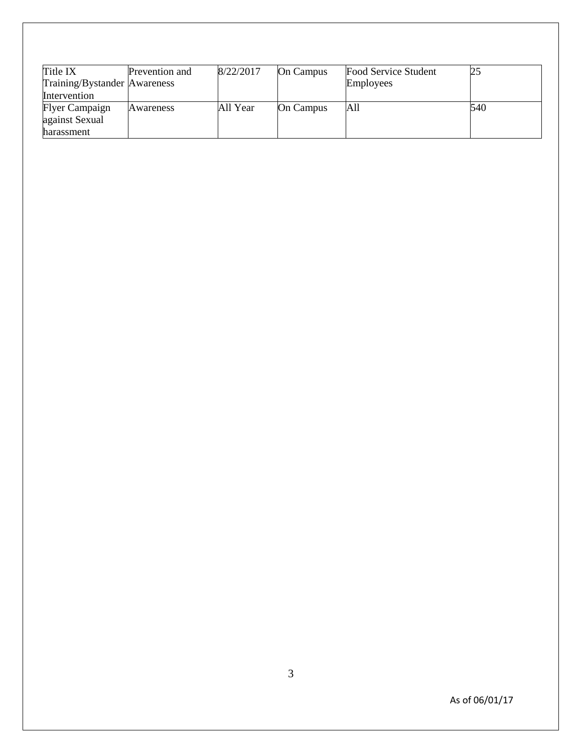| Title IX<br>Training/Bystander Awareness<br>Intervention | <b>Prevention and</b> | 8/22/2017 | <b>On Campus</b> | Food Service Student<br>Employees |     |
|----------------------------------------------------------|-----------------------|-----------|------------------|-----------------------------------|-----|
| <b>Flyer Campaign</b>                                    | Awareness             | All Year  | <b>On Campus</b> | All                               | 540 |
| against Sexual<br>harassment                             |                       |           |                  |                                   |     |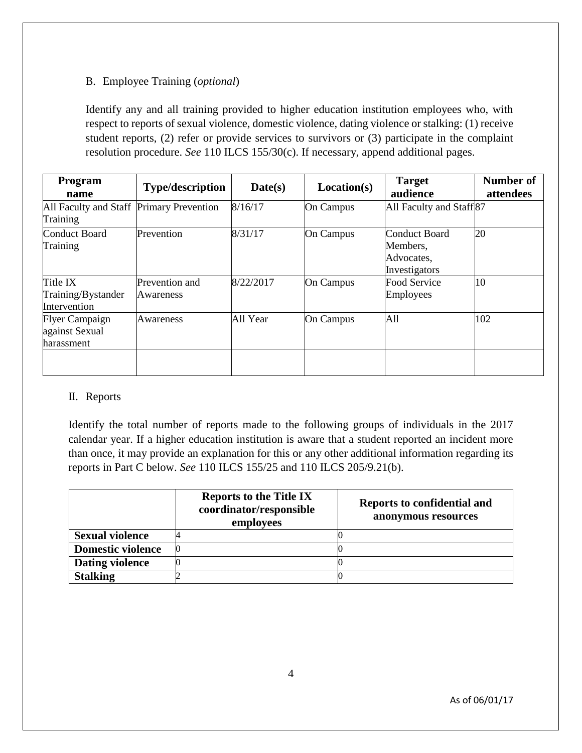### B. Employee Training (*optional*)

Identify any and all training provided to higher education institution employees who, with respect to reports of sexual violence, domestic violence, dating violence or stalking: (1) receive student reports, (2) refer or provide services to survivors or (3) participate in the complaint resolution procedure. *See* 110 ILCS 155/30(c). If necessary, append additional pages.

| <b>Program</b><br>name                                | <b>Type/description</b>     | Date(s)   | Location(s)      | <b>Target</b><br>audience                                       | Number of<br>attendees |
|-------------------------------------------------------|-----------------------------|-----------|------------------|-----------------------------------------------------------------|------------------------|
| All Faculty and Staff Primary Prevention<br>Training  |                             | 8/16/17   | On Campus        | All Faculty and Staff <sup>87</sup>                             |                        |
| <b>Conduct Board</b><br>Training                      | Prevention                  | 8/31/17   | On Campus        | <b>Conduct Board</b><br>Members.<br>Advocates,<br>Investigators | 20                     |
| Title IX<br>Training/Bystander<br>Intervention        | Prevention and<br>Awareness | 8/22/2017 | On Campus        | <b>Food Service</b><br>Employees                                | 10                     |
| <b>Flyer Campaign</b><br>against Sexual<br>harassment | Awareness                   | All Year  | <b>On Campus</b> | All                                                             | 102                    |
|                                                       |                             |           |                  |                                                                 |                        |

#### II. Reports

Identify the total number of reports made to the following groups of individuals in the 2017 calendar year. If a higher education institution is aware that a student reported an incident more than once, it may provide an explanation for this or any other additional information regarding its reports in Part C below. *See* 110 ILCS 155/25 and 110 ILCS 205/9.21(b).

|                          | <b>Reports to the Title IX</b><br>coordinator/responsible<br>employees | <b>Reports to confidential and</b><br>anonymous resources |
|--------------------------|------------------------------------------------------------------------|-----------------------------------------------------------|
| <b>Sexual violence</b>   |                                                                        |                                                           |
| <b>Domestic violence</b> |                                                                        |                                                           |
| <b>Dating violence</b>   |                                                                        |                                                           |
| <b>Stalking</b>          |                                                                        |                                                           |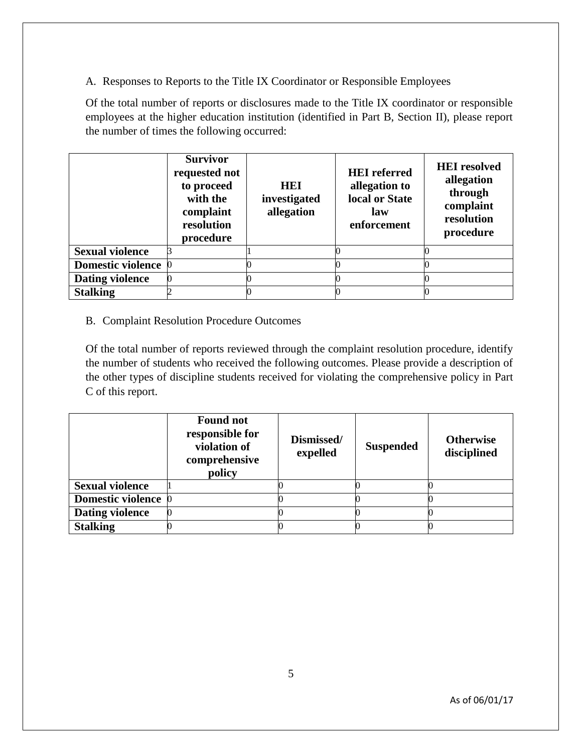A. Responses to Reports to the Title IX Coordinator or Responsible Employees

Of the total number of reports or disclosures made to the Title IX coordinator or responsible employees at the higher education institution (identified in Part B, Section II), please report the number of times the following occurred:

|                          | <b>Survivor</b><br>requested not<br>to proceed<br>with the<br>complaint<br>resolution<br>procedure | HEI<br>investigated<br>allegation | <b>HEI</b> referred<br>allegation to<br>local or State<br>law<br>enforcement | <b>HEI</b> resolved<br>allegation<br>through<br>complaint<br>resolution<br>procedure |
|--------------------------|----------------------------------------------------------------------------------------------------|-----------------------------------|------------------------------------------------------------------------------|--------------------------------------------------------------------------------------|
| <b>Sexual violence</b>   |                                                                                                    |                                   |                                                                              |                                                                                      |
| <b>Domestic violence</b> |                                                                                                    |                                   |                                                                              |                                                                                      |
| <b>Dating violence</b>   |                                                                                                    |                                   |                                                                              |                                                                                      |
| <b>Stalking</b>          |                                                                                                    |                                   |                                                                              |                                                                                      |

## B. Complaint Resolution Procedure Outcomes

Of the total number of reports reviewed through the complaint resolution procedure, identify the number of students who received the following outcomes. Please provide a description of the other types of discipline students received for violating the comprehensive policy in Part C of this report.

|                        | <b>Found not</b><br>responsible for<br>violation of<br>comprehensive<br>policy | Dismissed/<br>expelled | <b>Suspended</b> | <b>Otherwise</b><br>disciplined |
|------------------------|--------------------------------------------------------------------------------|------------------------|------------------|---------------------------------|
| <b>Sexual violence</b> |                                                                                |                        |                  |                                 |
| Domestic violence 0    |                                                                                |                        |                  |                                 |
| <b>Dating violence</b> |                                                                                |                        |                  |                                 |
| <b>Stalking</b>        |                                                                                |                        |                  |                                 |